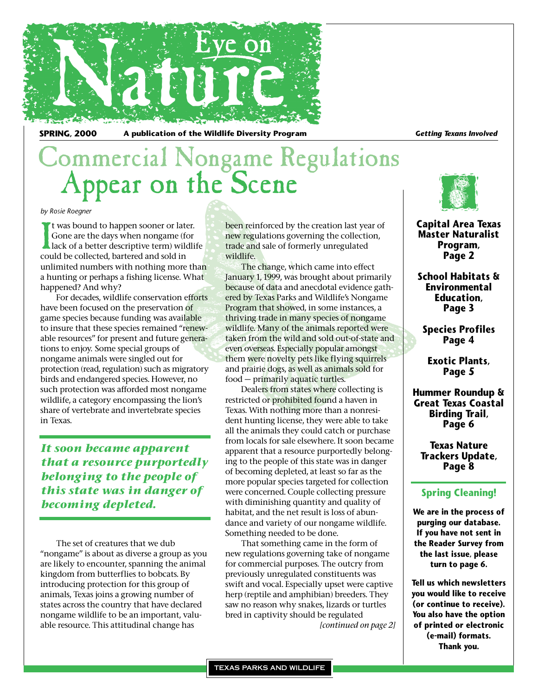

SPRING, 2000 A publication of the Wildlife Diversity Program *Getting Texans Involved* 

# Commercial Nongame Regulations Appear on the Scene

#### *by Rosie Roegner*

It was bound to happen sooner or lat<br>Gone are the days when nongame (f<br>lack of a better descriptive term) wil<br>could be collected, bartered and sold in t was bound to happen sooner or later. Gone are the days when nongame (for lack of a better descriptive term) wildlife unlimited numbers with nothing more than a hunting or perhaps a fishing license. What happened? And why?

For decades, wildlife conservation efforts have been focused on the preservation of game species because funding was available to insure that these species remained "renewable resources" for present and future generations to enjoy. Some special groups of nongame animals were singled out for protection (read, regulation) such as migratory birds and endangered species. However, no such protection was afforded most nongame wildlife, a category encompassing the lion's share of vertebrate and invertebrate species in Texas.

*It soon became apparent that a resource purportedly belonging to the people of this state was in danger of becoming depleted.*

The set of creatures that we dub "nongame" is about as diverse a group as you are likely to encounter, spanning the animal kingdom from butterflies to bobcats. By introducing protection for this group of animals, Texas joins a growing number of states across the country that have declared nongame wildlife to be an important, valuable resource. This attitudinal change has

been reinforced by the creation last year of new regulations governing the collection, trade and sale of formerly unregulated wildlife.

The change, which came into effect January 1, 1999, was brought about primarily because of data and anecdotal evidence gathered by Texas Parks and Wildlife's Nongame Program that showed, in some instances, a thriving trade in many species of nongame wildlife. Many of the animals reported were taken from the wild and sold out-of-state and even overseas. Especially popular amongst them were novelty pets like flying squirrels and prairie dogs, as well as animals sold for food — primarily aquatic turtles.

Dealers from states where collecting is restricted or prohibited found a haven in Texas. With nothing more than a nonresident hunting license, they were able to take all the animals they could catch or purchase from locals for sale elsewhere. It soon became apparent that a resource purportedly belonging to the people of this state was in danger of becoming depleted, at least so far as the more popular species targeted for collection were concerned. Couple collecting pressure with diminishing quantity and quality of habitat, and the net result is loss of abundance and variety of our nongame wildlife. Something needed to be done.

That something came in the form of new regulations governing take of nongame for commercial purposes. The outcry from previously unregulated constituents was swift and vocal. Especially upset were captive herp (reptile and amphibian) breeders. They saw no reason why snakes, lizards or turtles bred in captivity should be regulated *[continued on page 2]*



**Capital Area Texas Master Naturalist Program, Page 2**

**School Habitats & Environmental Education, Page 3**

**Species Profiles Page 4**

**Exotic Plants, Page 5**

**Hummer Roundup & Great Texas Coastal Birding Trail, Page 6**

**Texas Nature Trackers Update, Page 8**

### **Spring Cleaning!**

**We are in the process of purging our database. If you have not sent in the Reader Survey from the last issue, please turn to page 6.** 

**Tell us which newsletters you would like to receive (or continue to receive). You also have the option of printed or electronic (e-mail) formats. Thank you.**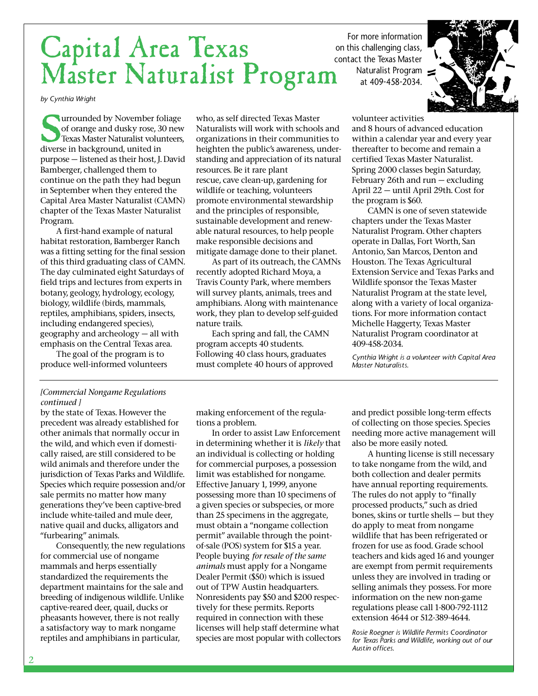### Capital Area Texas Master Naturalist Program on this challenging class, contact the Texas Master

*by Cynthia Wright*

**U**urrounded by November foliage of orange and dusky rose, 30 new Texas Master Naturalist volunteers, diverse in background, united in purpose — listened as their host, J. David Bamberger, challenged them to continue on the path they had begun in September when they entered the Capital Area Master Naturalist (CAMN) chapter of the Texas Master Naturalist Program.

A first-hand example of natural habitat restoration, Bamberger Ranch was a fitting setting for the final session of this third graduating class of CAMN. The day culminated eight Saturdays of field trips and lectures from experts in botany, geology, hydrology, ecology, biology, wildlife (birds, mammals, reptiles, amphibians, spiders, insects, including endangered species), geography and archeology — all with emphasis on the Central Texas area.

The goal of the program is to produce well-informed volunteers who, as self directed Texas Master Naturalists will work with schools and organizations in their communities to heighten the public's awareness, understanding and appreciation of its natural resources. Be it rare plant rescue, cave clean-up, gardening for wildlife or teaching, volunteers promote environmental stewardship and the principles of responsible, sustainable development and renewable natural resources, to help people make responsible decisions and mitigate damage done to their planet.

As part of its outreach, the CAMNs recently adopted Richard Moya, a Travis County Park, where members will survey plants, animals, trees and amphibians. Along with maintenance work, they plan to develop self-guided nature trails.

Each spring and fall, the CAMN program accepts 40 students. Following 40 class hours, graduates must complete 40 hours of approved volunteer activities

Naturalist Program at 409-458-2034.

For more information

and 8 hours of advanced education within a calendar year and every year thereafter to become and remain a certified Texas Master Naturalist. Spring 2000 classes begin Saturday, February 26th and run — excluding April 22 — until April 29th. Cost for the program is \$60.

CAMN is one of seven statewide chapters under the Texas Master Naturalist Program. Other chapters operate in Dallas, Fort Worth, San Antonio, San Marcos, Denton and Houston. The Texas Agricultural Extension Service and Texas Parks and Wildlife sponsor the Texas Master Naturalist Program at the state level, along with a variety of local organizations. For more information contact Michelle Haggerty, Texas Master Naturalist Program coordinator at 409-458-2034.

*Cynthia Wright is a volunteer with Capital Area Master Naturalists.*

#### *[Commercial Nongame Regulations continued ]*

by the state of Texas. However the precedent was already established for other animals that normally occur in the wild, and which even if domestically raised, are still considered to be wild animals and therefore under the jurisdiction of Texas Parks and Wildlife. Species which require possession and/or sale permits no matter how many generations they've been captive-bred include white-tailed and mule deer, native quail and ducks, alligators and "furbearing" animals.

Consequently, the new regulations for commercial use of nongame mammals and herps essentially standardized the requirements the department maintains for the sale and breeding of indigenous wildlife. Unlike captive-reared deer, quail, ducks or pheasants however, there is not really a satisfactory way to mark nongame reptiles and amphibians in particular,

making enforcement of the regulations a problem.

In order to assist Law Enforcement in determining whether it is *likely* that an individual is collecting or holding for commercial purposes, a possession limit was established for nongame. Effective January 1, 1999, anyone possessing more than 10 specimens of a given species or subspecies, or more than 25 specimens in the aggregate, must obtain a "nongame collection permit" available through the pointof-sale (POS) system for \$15 a year. People buying *for resale of the same animals* must apply for a Nongame Dealer Permit (\$50) which is issued out of TPW Austin headquarters. Nonresidents pay \$50 and \$200 respectively for these permits. Reports required in connection with these licenses will help staff determine what species are most popular with collectors and predict possible long-term effects of collecting on those species. Species needing more active management will also be more easily noted.

A hunting license is still necessary to take nongame from the wild, and both collection and dealer permits have annual reporting requirements. The rules do not apply to "finally processed products," such as dried bones, skins or turtle shells — but they do apply to meat from nongame wildlife that has been refrigerated or frozen for use as food. Grade school teachers and kids aged 16 and younger are exempt from permit requirements unless they are involved in trading or selling animals they possess. For more information on the new non-game regulations please call 1-800-792-1112 extension 4644 or 512-389-4644.

*Rosie Roegner is Wildlife Permits Coordinator for Texas Parks and Wildlife, working out of our Austin offices.*

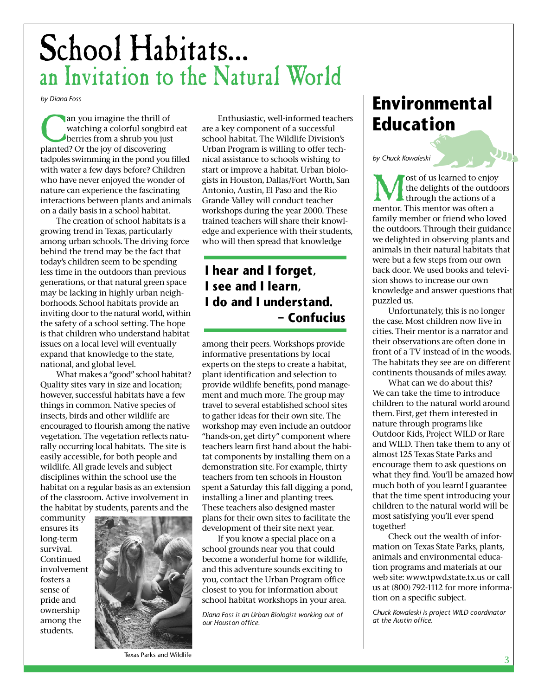# School Habitats… an Invitation to the Natural World

*by Diana Foss*

an you imagine the thrill of<br>watching a colorful songbir<br>berries from a shrub you jus<br>planted? Or the joy of discovering watching a colorful songbird eat berries from a shrub you just tadpoles swimming in the pond you filled with water a few days before? Children who have never enjoyed the wonder of nature can experience the fascinating interactions between plants and animals on a daily basis in a school habitat.

The creation of school habitats is a growing trend in Texas, particularly among urban schools. The driving force behind the trend may be the fact that today's children seem to be spending less time in the outdoors than previous generations, or that natural green space may be lacking in highly urban neighborhoods. School habitats provide an inviting door to the natural world, within the safety of a school setting. The hope is that children who understand habitat issues on a local level will eventually expand that knowledge to the state, national, and global level.

What makes a "good" school habitat? Quality sites vary in size and location; however, successful habitats have a few things in common. Native species of insects, birds and other wildlife are encouraged to flourish among the native vegetation. The vegetation reflects naturally occurring local habitats. The site is easily accessible, for both people and wildlife. All grade levels and subject disciplines within the school use the habitat on a regular basis as an extension of the classroom. Active involvement in the habitat by students, parents and the

community ensures its long-term survival. Continued involvement fosters a sense of pride and ownership among the students.



Enthusiastic, well-informed teachers are a key component of a successful school habitat. The Wildlife Division's Urban Program is willing to offer technical assistance to schools wishing to start or improve a habitat. Urban biologists in Houston, Dallas/Fort Worth, San Antonio, Austin, El Paso and the Rio Grande Valley will conduct teacher workshops during the year 2000. These trained teachers will share their knowledge and experience with their students, who will then spread that knowledge

### **I hear and I forget, I see and I learn, I do and I understand. – Confucius**

among their peers. Workshops provide informative presentations by local experts on the steps to create a habitat, plant identification and selection to provide wildlife benefits, pond management and much more. The group may travel to several established school sites to gather ideas for their own site. The workshop may even include an outdoor "hands-on, get dirty" component where teachers learn first hand about the habitat components by installing them on a demonstration site. For example, thirty teachers from ten schools in Houston spent a Saturday this fall digging a pond, installing a liner and planting trees. These teachers also designed master plans for their own sites to facilitate the development of their site next year.

If you know a special place on a school grounds near you that could become a wonderful home for wildlife, and this adventure sounds exciting to you, contact the Urban Program office closest to you for information about school habitat workshops in your area.

*Diana Foss is an Urban Biologist working out of our Houston office.*

## **Environmental Education**

*by Chuck Kowaleski*

**Most of us learned to enjoy**<br>the delights of the outdo<br>through the actions of a<br>mentor. This mentor was often a the delights of the outdoors through the actions of a mentor. This mentor was often a family member or friend who loved the outdoors. Through their guidance we delighted in observing plants and animals in their natural habitats that were but a few steps from our own back door. We used books and television shows to increase our own knowledge and answer questions that puzzled us.

תע

Unfortunately, this is no longer the case. Most children now live in cities. Their mentor is a narrator and their observations are often done in front of a TV instead of in the woods. The habitats they see are on different continents thousands of miles away.

What can we do about this? We can take the time to introduce children to the natural world around them. First, get them interested in nature through programs like Outdoor Kids, Project WILD or Rare and WILD. Then take them to any of almost 125 Texas State Parks and encourage them to ask questions on what they find. You'll be amazed how much both of you learn! I guarantee that the time spent introducing your children to the natural world will be most satisfying you'll ever spend together!

Check out the wealth of information on Texas State Parks, plants, animals and environmental education programs and materials at our web site: www.tpwd.state.tx.us or call us at (800) 792-1112 for more information on a specific subject.

*Chuck Kowaleski is project WILD coordinator at the Austin office.*

Texas Parks and Wildlife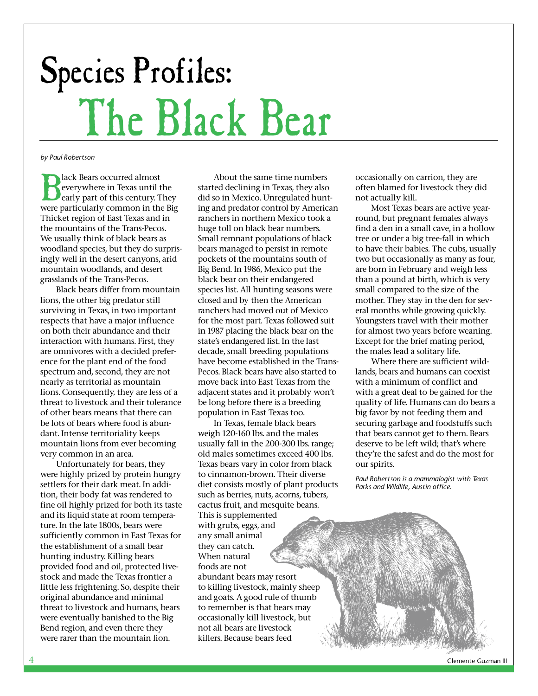# Species Profiles: The Black Bear

*by Paul Robertson*

**B**lack Bears occurred almost<br>everywhere in Texas until<br>early part of this century. T<br>were particularly common in th everywhere in Texas until the early part of this century. They were particularly common in the Big Thicket region of East Texas and in the mountains of the Trans-Pecos. We usually think of black bears as woodland species, but they do surprisingly well in the desert canyons, arid mountain woodlands, and desert grasslands of the Trans-Pecos.

Black bears differ from mountain lions, the other big predator still surviving in Texas, in two important respects that have a major influence on both their abundance and their interaction with humans. First, they are omnivores with a decided preference for the plant end of the food spectrum and, second, they are not nearly as territorial as mountain lions. Consequently, they are less of a threat to livestock and their tolerance of other bears means that there can be lots of bears where food is abundant. Intense territoriality keeps mountain lions from ever becoming very common in an area.

Unfortunately for bears, they were highly prized by protein hungry settlers for their dark meat. In addition, their body fat was rendered to fine oil highly prized for both its taste and its liquid state at room temperature. In the late 1800s, bears were sufficiently common in East Texas for the establishment of a small bear hunting industry. Killing bears provided food and oil, protected livestock and made the Texas frontier a little less frightening. So, despite their original abundance and minimal threat to livestock and humans, bears were eventually banished to the Big Bend region, and even there they were rarer than the mountain lion.

About the same time numbers started declining in Texas, they also did so in Mexico. Unregulated hunting and predator control by American ranchers in northern Mexico took a huge toll on black bear numbers. Small remnant populations of black bears managed to persist in remote pockets of the mountains south of Big Bend. In 1986, Mexico put the black bear on their endangered species list. All hunting seasons were closed and by then the American ranchers had moved out of Mexico for the most part. Texas followed suit in 1987 placing the black bear on the state's endangered list. In the last decade, small breeding populations have become established in the Trans-Pecos. Black bears have also started to move back into East Texas from the adjacent states and it probably won't be long before there is a breeding population in East Texas too.

In Texas, female black bears weigh 120-160 lbs. and the males usually fall in the 200-300 lbs. range; old males sometimes exceed 400 lbs. Texas bears vary in color from black to cinnamon-brown. Their diverse diet consists mostly of plant products such as berries, nuts, acorns, tubers, cactus fruit, and mesquite beans. This is supplemented with grubs, eggs, and any small animal they can catch. When natural foods are not abundant bears may resort to killing livestock, mainly sheep and goats. A good rule of thumb to remember is that bears may occasionally kill livestock, but not all bears are livestock killers. Because bears feed

occasionally on carrion, they are often blamed for livestock they did not actually kill.

Most Texas bears are active yearround, but pregnant females always find a den in a small cave, in a hollow tree or under a big tree-fall in which to have their babies. The cubs, usually two but occasionally as many as four, are born in February and weigh less than a pound at birth, which is very small compared to the size of the mother. They stay in the den for several months while growing quickly. Youngsters travel with their mother for almost two years before weaning. Except for the brief mating period, the males lead a solitary life.

Where there are sufficient wildlands, bears and humans can coexist with a minimum of conflict and with a great deal to be gained for the quality of life. Humans can do bears a big favor by not feeding them and securing garbage and foodstuffs such that bears cannot get to them. Bears deserve to be left wild; that's where they're the safest and do the most for our spirits.

*Paul Robertson is a mammalogist with Texas Parks and Wildlife, Austin office.*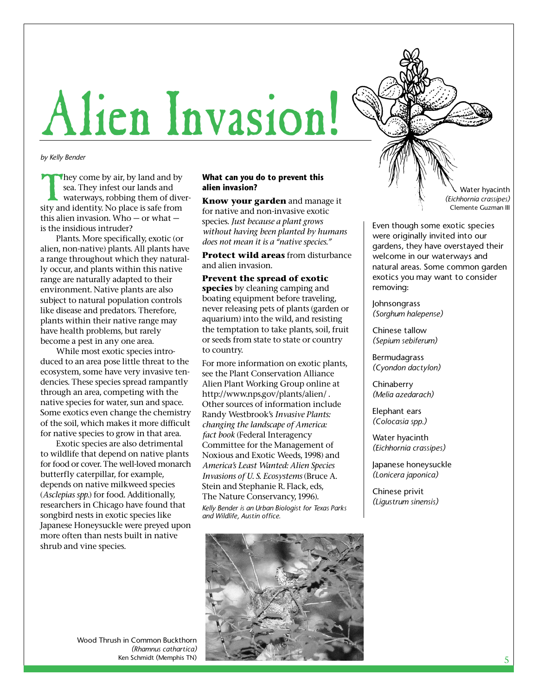# Alien Invasion!

*by Kelly Bender*

They come by air, by land and by<br>sea. They infest our lands and<br>waterways, robbing them of dive<br>sity and identity. No place is safe from sea. They infest our lands and waterways, robbing them of diverthis alien invasion. Who — or what is the insidious intruder?

Plants. More specifically, exotic (or alien, non-native) plants. All plants have a range throughout which they naturally occur, and plants within this native range are naturally adapted to their environment. Native plants are also subject to natural population controls like disease and predators. Therefore, plants within their native range may have health problems, but rarely become a pest in any one area.

While most exotic species introduced to an area pose little threat to the ecosystem, some have very invasive tendencies. These species spread rampantly through an area, competing with the native species for water, sun and space. Some exotics even change the chemistry of the soil, which makes it more difficult for native species to grow in that area.

Exotic species are also detrimental to wildlife that depend on native plants for food or cover. The well-loved monarch butterfly caterpillar, for example, depends on native milkweed species (*Asclepias spp.*) for food. Additionally, researchers in Chicago have found that songbird nests in exotic species like Japanese Honeysuckle were preyed upon more often than nests built in native shrub and vine species.

### **What can you do to prevent this alien invasion?**

**Know your garden** and manage it for native and non-invasive exotic species. *Just because a plant grows without having been planted by humans does not mean it is a "native species."*

**Protect wild areas** from disturbance and alien invasion.

**Prevent the spread of exotic species** by cleaning camping and boating equipment before traveling, never releasing pets of plants (garden or aquarium) into the wild, and resisting the temptation to take plants, soil, fruit or seeds from state to state or country to country.

For more information on exotic plants, see the Plant Conservation Alliance Alien Plant Working Group online at http://www.nps.gov/plants/alien/ . Other sources of information include Randy Westbrook's *Invasive Plants: changing the landscape of America: fact book* (Federal Interagency Committee for the Management of Noxious and Exotic Weeds, 1998) and *America's Least Wanted: Alien Species Invasions of U. S. Ecosystems* (Bruce A. Stein and Stephanie R. Flack, eds, The Nature Conservancy, 1996). *Kelly Bender is an Urban Biologist for Texas Parks and Wildlife, Austin office.*



Even though some exotic species were originally invited into our gardens, they have overstayed their welcome in our waterways and natural areas. Some common garden exotics you may want to consider removing:

Johnsongrass *(Sorghum halepense)*

Chinese tallow *(Sepium sebiferum)*

Bermudagrass *(Cyondon dactylon)*

**Chinaberry** *(Melia azedarach)*

Elephant ears *(Colocasia spp.)*

Water hyacinth *(Eichhornia crassipes)*

Japanese honeysuckle *(Lonicera japonica)*

Chinese privit *(Ligustrum sinensis)*



Wood Thrush in Common Buckthorn *(Rhamnus cathartica)* Ken Schmidt (Memphis TN)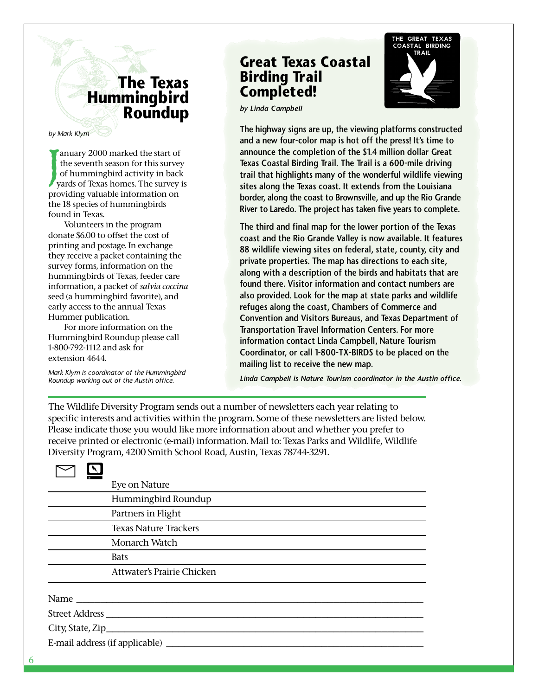## **The Texas Hummingbird Roundup**

*by Mark Klym*

J anuary 2000 marked the start of the seventh season for this survey of hummingbird activity in back yards of Texas homes. The survey is providing valuable information on the 18 species of hummingbirds found in Texas.

Volunteers in the program donate \$6.00 to offset the cost of printing and postage. In exchange they receive a packet containing the survey forms, information on the hummingbirds of Texas, feeder care information, a packet of *salvia coccina* seed (a hummingbird favorite), and early access to the annual Texas Hummer publication.

For more information on the Hummingbird Roundup please call 1-800-792-1112 and ask for extension 4644.

*Mark Klym is coordinator of the Hummingbird Roundup working out of the Austin office.*

## **Great Texas Coastal Birding Trail Completed!**



*by Linda Campbell*

**The highway signs are up, the viewing platforms constructed and a new four-color map is hot off the press! It's time to announce the completion of the \$1.4 million dollar Great Texas Coastal Birding Trail. The Trail is a 600-mile driving trail that highlights many of the wonderful wildlife viewing sites along the Texas coast. It extends from the Louisiana border, along the coast to Brownsville, and up the Rio Grande River to Laredo. The project has taken five years to complete.**

**The third and final map for the lower portion of the Texas coast and the Rio Grande Valley is now available. It features 88 wildlife viewing sites on federal, state, county, city and private properties. The map has directions to each site, along with a description of the birds and habitats that are found there. Visitor information and contact numbers are also provided. Look for the map at state parks and wildlife refuges along the coast, Chambers of Commerce and Convention and Visitors Bureaus, and Texas Department of Transportation Travel Information Centers. For more information contact Linda Campbell, Nature Tourism Coordinator, or call 1-800-TX-BIRDS to be placed on the mailing list to receive the new map.**

*Linda Campbell is Nature Tourism coordinator in the Austin office.*

The Wildlife Diversity Program sends out a number of newsletters each year relating to specific interests and activities within the program. Some of these newsletters are listed below. Please indicate those you would like more information about and whether you prefer to receive printed or electronic (e-mail) information. Mail to: Texas Parks and Wildlife, Wildlife Diversity Program, 4200 Smith School Road, Austin, Texas 78744-3291.

|                | Eye on Nature                                                                                                                                                                                                                  |
|----------------|--------------------------------------------------------------------------------------------------------------------------------------------------------------------------------------------------------------------------------|
|                | Hummingbird Roundup                                                                                                                                                                                                            |
|                | Partners in Flight                                                                                                                                                                                                             |
|                | <b>Texas Nature Trackers</b>                                                                                                                                                                                                   |
|                | Monarch Watch                                                                                                                                                                                                                  |
|                | <b>Bats</b>                                                                                                                                                                                                                    |
|                | Attwater's Prairie Chicken                                                                                                                                                                                                     |
|                | Name and the state of the state of the state of the state of the state of the state of the state of the state of the state of the state of the state of the state of the state of the state of the state of the state of the s |
| Street Address |                                                                                                                                                                                                                                |
|                |                                                                                                                                                                                                                                |
|                |                                                                                                                                                                                                                                |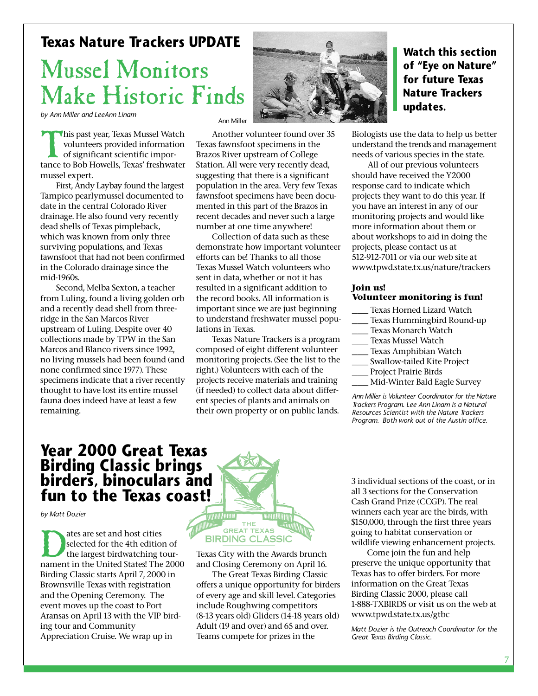### **Texas Nature Trackers UPDATE**

## Mussel Monitors Make Historic Finds

*by Ann Miller and LeeAnn Linam*

This past year, Texas Mussel Watch<br>volunteers provided information<br>of significant scientific impor-<br>tance to Bob Howells. Texas' freshwater volunteers provided information of significant scientific importance to Bob Howells, Texas' freshwater mussel expert.

First, Andy Laybay found the largest Tampico pearlymussel documented to date in the central Colorado River drainage. He also found very recently dead shells of Texas pimpleback, which was known from only three surviving populations, and Texas fawnsfoot that had not been confirmed in the Colorado drainage since the mid-1960s.

Second, Melba Sexton, a teacher from Luling, found a living golden orb and a recently dead shell from threeridge in the San Marcos River upstream of Luling. Despite over 40 collections made by TPW in the San Marcos and Blanco rivers since 1992, no living mussels had been found (and none confirmed since 1977). These specimens indicate that a river recently thought to have lost its entire mussel fauna does indeed have at least a few remaining.

Ann Mille

Another volunteer found over 35 Texas fawnsfoot specimens in the Brazos River upstream of College Station. All were very recently dead, suggesting that there is a significant population in the area. Very few Texas fawnsfoot specimens have been documented in this part of the Brazos in recent decades and never such a large number at one time anywhere!

Collection of data such as these demonstrate how important volunteer efforts can be! Thanks to all those Texas Mussel Watch volunteers who sent in data, whether or not it has resulted in a significant addition to the record books. All information is important since we are just beginning to understand freshwater mussel populations in Texas.

Texas Nature Trackers is a program composed of eight different volunteer monitoring projects. (See the list to the right.) Volunteers with each of the projects receive materials and training (if needed) to collect data about different species of plants and animals on their own property or on public lands.



Biologists use the data to help us better understand the trends and management needs of various species in the state.

All of our previous volunteers should have received the Y2000 response card to indicate which projects they want to do this year. If you have an interest in any of our monitoring projects and would like more information about them or about workshops to aid in doing the projects, please contact us at 512-912-7011 or via our web site at www.tpwd.state.tx.us/nature/trackers

### **Join us! Volunteer monitoring is fun!**

- Texas Horned Lizard Watch
- \_\_\_ Texas Hummingbird Round-up
- \_\_\_ Texas Monarch Watch
- \_\_\_ Texas Mussel Watch
- Texas Amphibian Watch
- Swallow-tailed Kite Project
- Project Prairie Birds
- \_\_\_ Mid-Winter Bald Eagle Survey

*Ann Miller is Volunteer Coordinator for the Nature Trackers Program. Lee Ann Linam is a Natural Resources Scientist with the Nature Trackers Program. Both work out of the Austin office.*

## **Year 2000 Great Texas Birding Classic brings birders, binoculars and fun to the Texas coast!**

*by Matt Dozier*

ates are set and host cities<br>selected for the 4th edition of<br>the largest birdwatching tour-<br>nament in the United States! The 2000 selected for the 4th edition of the largest birdwatching tour-Birding Classic starts April 7, 2000 in Brownsville Texas with registration and the Opening Ceremony. The event moves up the coast to Port Aransas on April 13 with the VIP birding tour and Community Appreciation Cruise. We wrap up in



Texas City with the Awards brunch and Closing Ceremony on April 16.

The Great Texas Birding Classic offers a unique opportunity for birders of every age and skill level. Categories include Roughwing competitors (8-13 years old) Gliders (14-18 years old) Adult (19 and over) and 65 and over. Teams compete for prizes in the

3 individual sections of the coast, or in all 3 sections for the Conservation Cash Grand Prize (CCGP). The real winners each year are the birds, with \$150,000, through the first three years going to habitat conservation or wildlife viewing enhancement projects.

Come join the fun and help preserve the unique opportunity that Texas has to offer birders. For more information on the Great Texas Birding Classic 2000, please call 1-888-TXBIRDS or visit us on the web at www.tpwd.state.tx.us/gtbc

*Matt Dozier is the Outreach Coordinator for the Great Texas Birding Classic.*